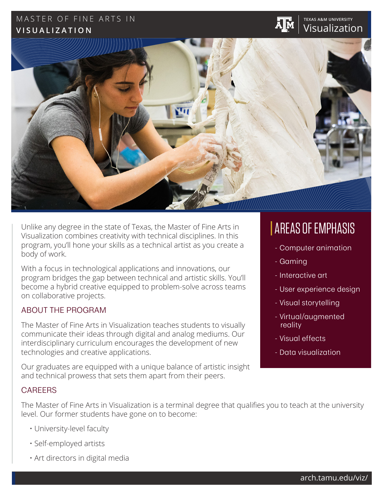# MASTER OF FINE ARTS IN **TEXAS A&M UNIVERSITY VISUALIZATION**





Unlike any degree in the state of Texas, the Master of Fine Arts in Visualization combines creativity with technical disciplines. In this program, you'll hone your skills as a technical artist as you create a body of work.

With a focus in technological applications and innovations, our program bridges the gap between technical and artistic skills. You'll become a hybrid creative equipped to problem-solve across teams on collaborative projects.

### ABOUT THE PROGRAM

The Master of Fine Arts in Visualization teaches students to visually communicate their ideas through digital and analog mediums. Our interdisciplinary curriculum encourages the development of new technologies and creative applications.

Our graduates are equipped with a unique balance of artistic insight and technical prowess that sets them apart from their peers.

# AREAS OF EMPHASIS

- Computer animation
- Gaming
- Interactive art
- User experience design
- Visual storytelling
- Virtual/augmented reality
- Visual effects
- Data visualization

# CAREERS

The Master of Fine Arts in Visualization is a terminal degree that qualifies you to teach at the university level. Our former students have gone on to become:

- University-level faculty
- Self-employed artists
- Art directors in digital media